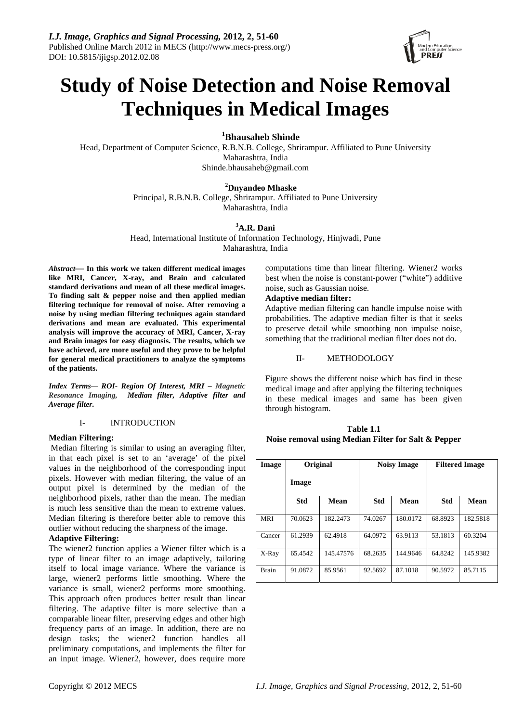

# **Study of Noise Detection and Noise Removal Techniques in Medical Images**

**1 Bhausaheb Shinde**

Head, Department of Computer Science, R.B.N.B. College, Shrirampur. Affiliated to Pune University Maharashtra, India Shinde.bhausaheb@gmail.com

#### **<sup>2</sup> Dnyandeo Mhaske**

Principal, R.B.N.B. College, Shrirampur. Affiliated to Pune University Maharashtra, India

# **3 A.R. Dani**

Head, International Institute of Information Technology, Hinjwadi, Pune Maharashtra, India

*Abstract***— In this work we taken different medical images like MRI, Cancer, X-ray, and Brain and calculated standard derivations and mean of all these medical images. To finding salt & pepper noise and then applied median filtering technique for removal of noise. After removing a noise by using median filtering techniques again standard derivations and mean are evaluated. This experimental analysis will improve the accuracy of MRI, Cancer, X-ray and Brain images for easy diagnosis. The results, which we have achieved, are more useful and they prove to be helpful for general medical practitioners to analyze the symptoms of the patients.** 

*Index Terms— ROI- Region Of Interest, MRI – Magnetic Resonance Imaging, Median filter, Adaptive filter and Average filter.* 

## I- INTRODUCTION

#### **Median Filtering:**

 Median filtering is similar to using an averaging filter, in that each pixel is set to an 'average' of the pixel values in the neighborhood of the corresponding input pixels. However with median filtering, the value of an output pixel is determined by the median of the neighborhood pixels, rather than the mean. The median is much less sensitive than the mean to extreme values. Median filtering is therefore better able to remove this outlier without reducing the sharpness of the image.

# **Adaptive Filtering:**

The wiener2 function applies a Wiener filter which is a type of linear filter to an image adaptively, tailoring itself to local image variance. Where the variance is large, wiener2 performs little smoothing. Where the variance is small, wiener2 performs more smoothing. This approach often produces better result than linear filtering. The adaptive filter is more selective than a comparable linear filter, preserving edges and other high frequency parts of an image. In addition, there are no design tasks; the wiener2 function handles all preliminary computations, and implements the filter for an input image. Wiener2, however, does require more computations time than linear filtering. Wiener2 works best when the noise is constant-power ("white") additive noise, such as Gaussian noise.

# **Adaptive median filter:**

Adaptive median filtering can handle impulse noise with probabilities. The adaptive median filter is that it seeks to preserve detail while smoothing non impulse noise, something that the traditional median filter does not do.

## II- METHODOLOGY

Figure shows the different noise which has find in these medical image and after applying the filtering techniques in these medical images and same has been given through histogram.

**Table 1.1 Noise removal using Median Filter for Salt & Pepper** 

| Image        | Original |           | <b>Noisy Image</b> |             | <b>Filtered Image</b> |          |
|--------------|----------|-----------|--------------------|-------------|-----------------------|----------|
|              | Image    |           |                    |             |                       |          |
|              | Std      | Mean      | <b>Std</b>         | <b>Mean</b> | Std                   | Mean     |
| <b>MRI</b>   | 70.0623  | 182.2473  | 74.0267            | 180.0172    | 68.8923               | 182.5818 |
| Cancer       | 61.2939  | 62.4918   | 64.0972            | 63.9113     | 53.1813               | 60.3204  |
| X-Ray        | 65.4542  | 145.47576 | 68.2635            | 144.9646    | 64.8242               | 145.9382 |
| <b>Brain</b> | 91.0872  | 85.9561   | 92.5692            | 87.1018     | 90.5972               | 85.7115  |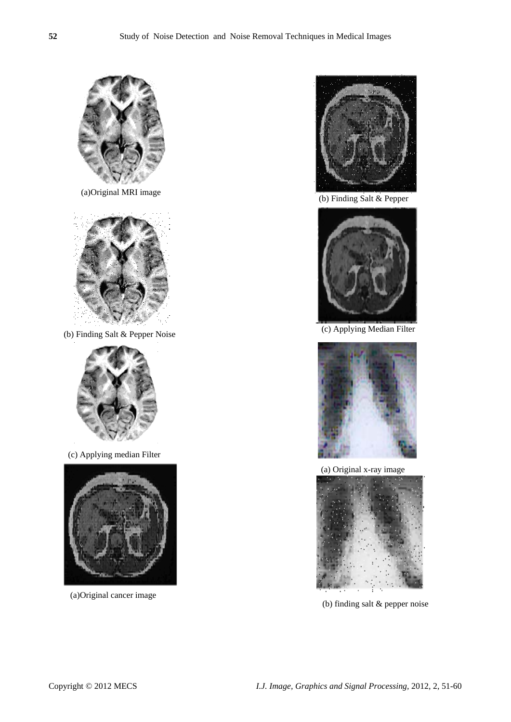

(a)Original MRI image



(b) Finding Salt & Pepper Noise



(c) Applying median Filter



(a)Original cancer image



(b) Finding Salt & Pepper



(c) Applying Median Filter



(a) Original x-ray image



(b) finding salt & pepper noise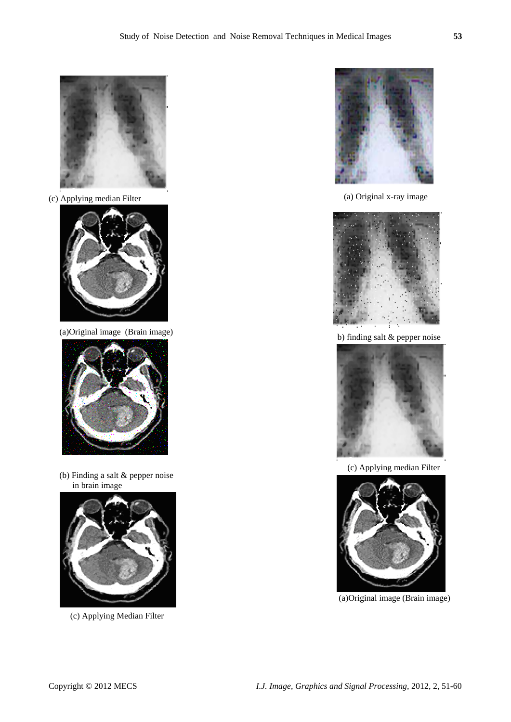

(c) Applying median Filter



(a)Original image (Brain image)



 (b) Finding a salt & pepper noise in brain image



(c) Applying Median Filter



(a) Original x-ray image



b) finding salt & pepper noise



(c) Applying median Filter



(a)Original image (Brain image)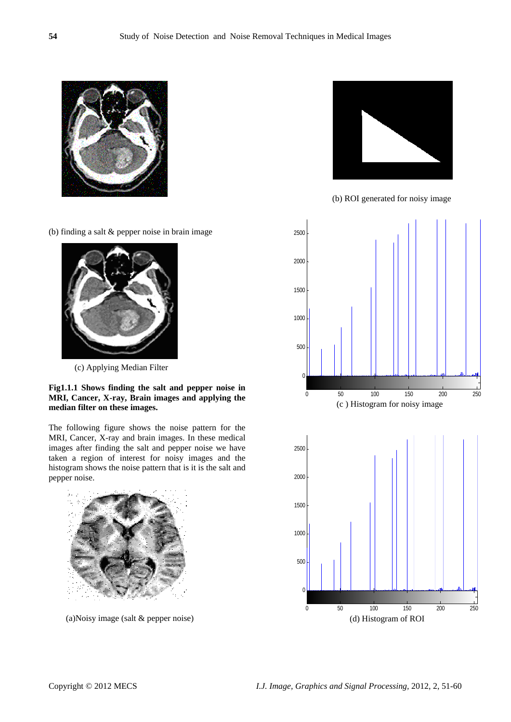

(b) finding a salt & pepper noise in brain image



(c) Applying Median Filter

**Fig1.1.1 Shows finding the salt and pepper noise in MRI, Cancer, X-ray, Brain images and applying the median filter on these images.** 

The following figure shows the noise pattern for the MRI, Cancer, X-ray and brain images. In these medical images after finding the salt and pepper noise we have taken a region of interest for noisy images and the histogram shows the noise pattern that is it is the salt and pepper noise.



(a)Noisy image (salt & pepper noise)



(b) ROI generated for noisy image

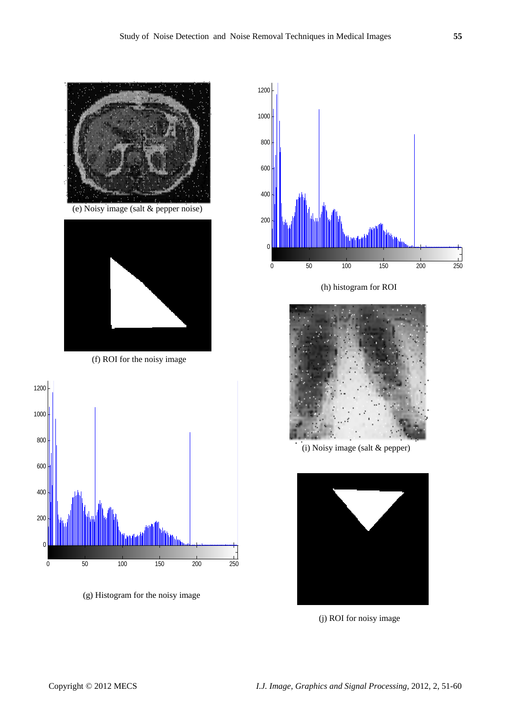



(f) ROI for the noisy image



(g) Histogram for the noisy image



(h) histogram for ROI



(i) Noisy image (salt & pepper)



(j) ROI for noisy image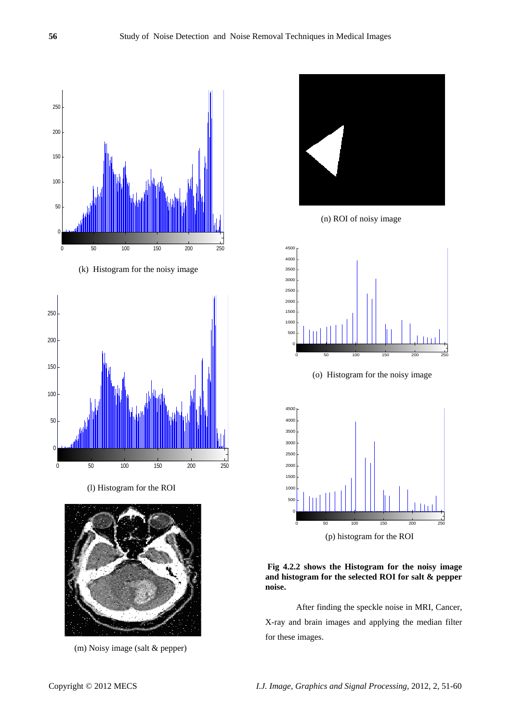

(k) Histogram for the noisy image



(l) Histogram for the ROI



) Noisy image (salt & pepper) (m



(n) ROI of noisy image



(o) Histogram for the noisy image



(p) histogram for the ROI

and histogram for the selected ROI for salt & pepper **oise. n Fig 4.2.2 shows the Histogram for the noisy image** 

X-ray and brain images and applying the median filter for these images. After finding the speckle noise in MRI, Cancer,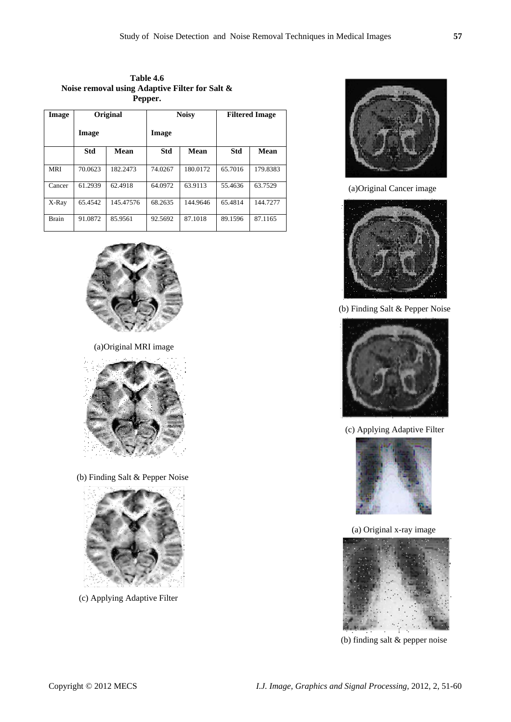**Table 4.6 Noise removal using Adaptive Filter for Salt & Pepper.** 

| Image        | Original   |           | <b>Noisy</b> |          | <b>Filtered Image</b> |          |
|--------------|------------|-----------|--------------|----------|-----------------------|----------|
|              | Image      |           | Image        |          |                       |          |
|              | <b>Std</b> | Mean      | Std          | Mean     | Std                   | Mean     |
| MRI          | 70.0623    | 182.2473  | 74.0267      | 180.0172 | 65.7016               | 179.8383 |
| Cancer       | 61.2939    | 62.4918   | 64.0972      | 63.9113  | 55.4636               | 63.7529  |
| X-Ray        | 65.4542    | 145.47576 | 68.2635      | 144.9646 | 65.4814               | 144.7277 |
| <b>Brain</b> | 91.0872    | 85.9561   | 92.5692      | 87.1018  | 89.1596               | 87.1165  |



(a)Original MRI image



(b) Finding Salt & Pepper Noise



(c) Applying Adaptive Filter



(a)Original Cancer image



(b) Finding Salt & Pepper Noise



(c) Applying Adaptive Filter



(a) Original x-ray image



(b) finding salt & pepper noise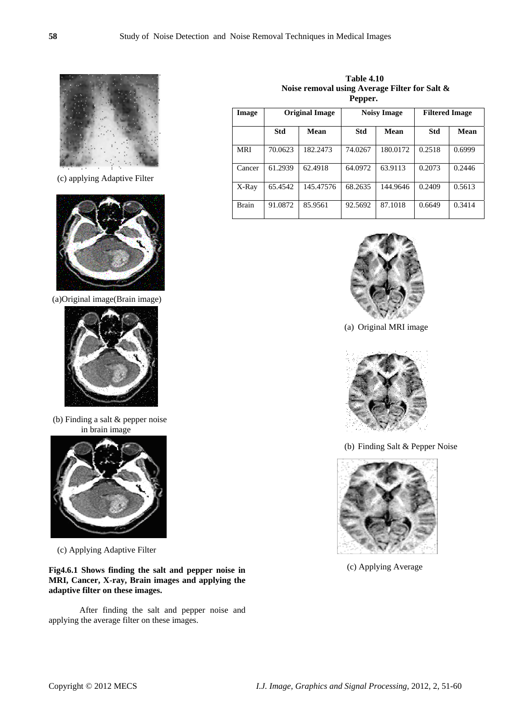

(c) applying Adaptive Filter



(a)Original image(Brain image)



 (b) Finding a salt & pepper noise in brain image



(c) Applying Adaptive Filter

**Fig4.6.1 Shows finding the salt and pepper noise in MRI, Cancer, X-ray, Brain images and applying the adaptive filter on these images.** 

After finding the salt and pepper noise and applying the average filter on these images.

 **Table 4.10 Noise removal using Average Filter for Salt & Pepper.** 

| Image        | <b>Original Image</b> |           | <b>Noisy Image</b> |          | <b>Filtered Image</b> |        |
|--------------|-----------------------|-----------|--------------------|----------|-----------------------|--------|
|              | <b>Std</b>            | Mean      | Std                | Mean     | Std                   | Mean   |
| <b>MRI</b>   | 70.0623               | 182.2473  | 74.0267            | 180.0172 | 0.2518                | 0.6999 |
| Cancer       | 61.2939               | 62.4918   | 64.0972            | 63.9113  | 0.2073                | 0.2446 |
| X-Ray        | 65.4542               | 145.47576 | 68.2635            | 144.9646 | 0.2409                | 0.5613 |
| <b>Brain</b> | 91.0872               | 85.9561   | 92.5692            | 87.1018  | 0.6649                | 0.3414 |



(a) Original MRI image



(b) Finding Salt & Pepper Noise



(c) Applying Average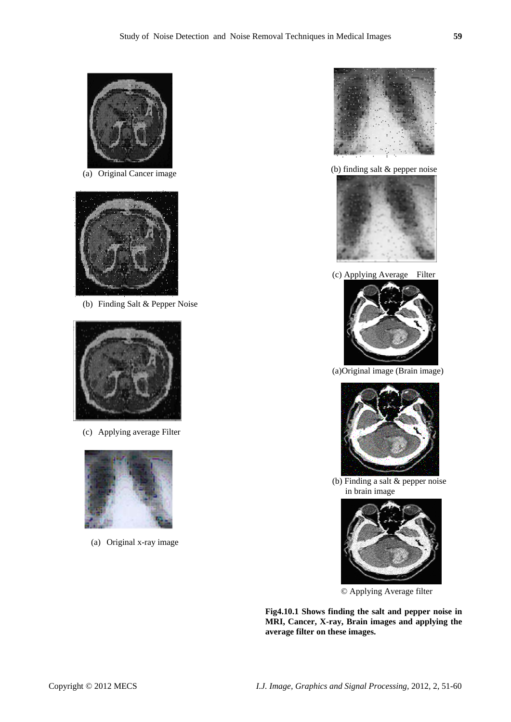

(a) Original Cancer image



(b) Finding Salt & Pepper Noise



(c) Applying average Filter



(a) Original x-ray image



(b) finding salt & pepper noise



(c) Applying Average Filter



(a)Original image (Brain image)



 (b) Finding a salt & pepper noise in brain image



© Applying Average filter

**Fig4.10.1 Shows finding the salt and pepper noise in MRI, Cancer, X-ray, Brain images and applying the average filter on these images.**